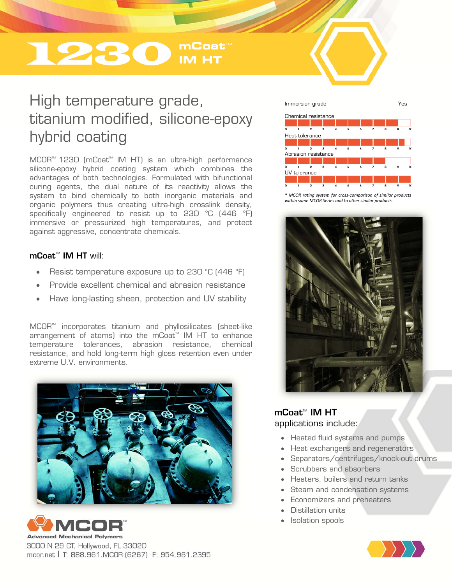# **1230** IM HT

## High temperature grade, titanium modified, silicone-epoxy hybrid coating

MCOR<sup>™</sup> 1230 (mCoat<sup>™</sup> IM HT) is an ultra-high performance silicone-epoxy hybrid coating system which combines the advantages of both technologies. Formulated with bifunctional curing agents, the dual nature of its reactivity allows the system to bind chemically to both inorganic materials and organic polymers thus creating ultra-high crosslink density, specifically engineered to resist up to 230 °C (446 °F) immersive or pressurized high temperatures, and protect against aggressive, concentrate chemicals.

#### $m\text{Coat}^{\text{TM}}$  IM HT will:

- Resist temperature exposure up to 230 °C (446 °F)
- Provide excellent chemical and abrasion resistance
- Have long-lasting sheen, protection and UV stability

MCOR<sup>™</sup> incorporates titanium and phyllosilicates (sheet-like  $\alpha$ rangement of atoms) into the mCoat<sup>M</sup> IM HT to enhance temperature tolerances, abrasion resistance, chemical resistance, and hold long-term high gloss retention even under extreme U.V. environments.





3000 N 29 CT, Hollywood, FL 33020 mcor.net | T: 888.961.MCOR (6267) F: 954.961.2395



*\* MCOR rating system for cross‐comparison of similar products within same MCOR Series and to other similar products.* 



### mCoat<sup>™</sup> IM HT applications include:

- Heated fluid systems and pumps
- Heat exchangers and regenerators
- Separators/centrifuges/knock-out drums
- Scrubbers and absorbers
- Heaters, boilers and return tanks
- Steam and condensation systems
- Economizers and preheaters
- Distillation units
- Isolation spools